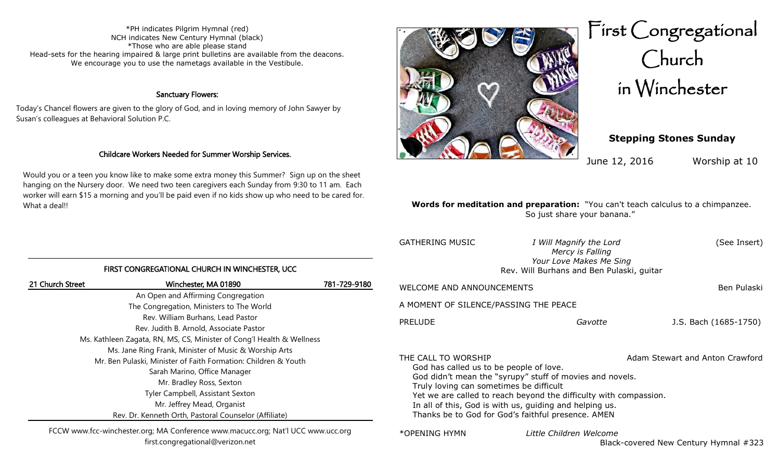\*PH indicates Pilgrim Hymnal (red) NCH indicates New Century Hymnal (black) \*Those who are able please stand Head-sets for the hearing impaired & large print bulletins are available from the deacons. We encourage you to use the nametags available in the Vestibule.

### Sanctuary Flowers:

Today's Chancel flowers are given to the glory of God, and in loving memory of John Sawyer by Susan's colleagues at Behavioral Solution P.C.

### Childcare Workers Needed for Summer Worship Services.

Would you or a teen you know like to make some extra money this Summer? Sign up on the sheet hanging on the Nursery door. We need two teen caregivers each Sunday from 9:30 to 11 am. Each worker will earn \$15 a morning and you'll be paid even if no kids show up who need to be cared for. What a deal!!

FIRST CONGREGATIONAL CHURCH IN WINCHESTER, UCC 21 Church Street Winchester, MA 01890 781-729-9180 An Open and Affirming Congregation The Congregation, Ministers to The World Rev. William Burhans, Lead Pastor Rev. Judith B. Arnold, Associate Pastor Ms. Kathleen Zagata, RN, MS, CS, Minister of Cong'l Health & Wellness Ms. Jane Ring Frank, Minister of Music & Worship Arts Mr. Ben Pulaski, Minister of Faith Formation: Children & Youth Sarah Marino, Office Manager Mr. Bradley Ross, Sexton Tyler Campbell, Assistant Sexton Mr. Jeffrey Mead, Organist Rev. Dr. Kenneth Orth, Pastoral Counselor (Affiliate)



First Congregational Church in Winchester

## **Stepping Stones Sunday**

June 12, 2016 Worship at 10

### **Words for meditation and preparation:** "You can't teach calculus to a chimpanzee. So just share your banana."

| <b>GATHERING MUSIC</b>                                  | I Will Magnify the Lord<br>Mercy is Falling<br>Your Love Makes Me Sing<br>Rev. Will Burhans and Ben Pulaski, guitar                                                                                                                                    | (See Insert)          |  |
|---------------------------------------------------------|--------------------------------------------------------------------------------------------------------------------------------------------------------------------------------------------------------------------------------------------------------|-----------------------|--|
| WELCOME AND ANNOUNCEMENTS                               |                                                                                                                                                                                                                                                        | Ben Pulaski           |  |
| A MOMENT OF SILENCE/PASSING THE PEACE                   |                                                                                                                                                                                                                                                        |                       |  |
| <b>PRELUDE</b>                                          | Gavotte                                                                                                                                                                                                                                                | J.S. Bach (1685-1750) |  |
| THE CALL TO WORSHIP                                     |                                                                                                                                                                                                                                                        |                       |  |
| In all of this, God is with us, guiding and helping us. | Adam Stewart and Anton Crawford<br>God has called us to be people of love.<br>God didn't mean the "syrupy" stuff of movies and novels.<br>Truly loving can sometimes be difficult<br>Yet we are called to reach beyond the difficulty with compassion. |                       |  |

| FCCW www.fcc-winchester.org; MA Conference www.macucc.org; Nat'l UCC www.ucc.org |  |
|----------------------------------------------------------------------------------|--|
| first.congregational@verizon.net                                                 |  |

\*OPENING HYMN *Little Children Welcome*

Thanks be to God for God's faithful presence. AMEN

Black-covered New Century Hymnal #323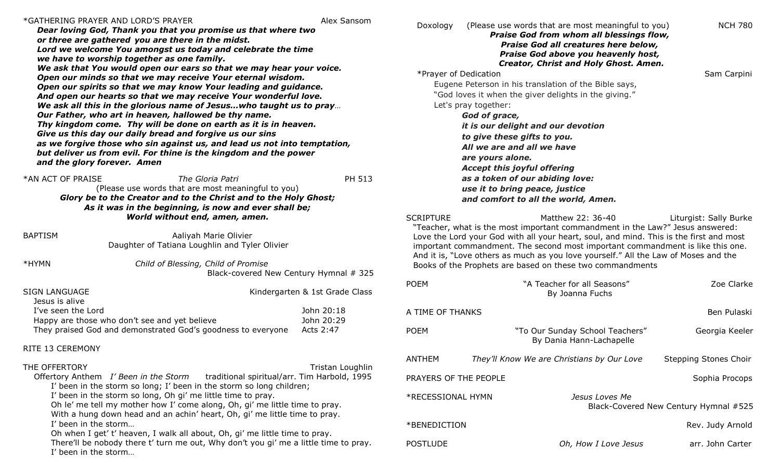### \*GATHERING PRAYER AND LORD'S PRAYER Alex Sansom

*Dear loving God, Thank you that you promise us that where two or three are gathered you are there in the midst. Lord we welcome You amongst us today and celebrate the time we have to worship together as one family. We ask that You would open our ears so that we may hear your voice. Open our minds so that we may receive Your eternal wisdom. Open our spirits so that we may know Your leading and guidance. And open our hearts so that we may receive Your wonderful love. We ask all this in the glorious name of Jesus…who taught us to pray… Our Father, who art in heaven, hallowed be thy name. Thy kingdom come. Thy will be done on earth as it is in heaven. Give us this day our daily bread and forgive us our sins as we forgive those who sin against us, and lead us not into temptation, but deliver us from evil. For thine is the kingdom and the power and the glory forever. Amen*

\*AN ACT OF PRAISE *The Gloria Patri* PH 513 (Please use words that are most meaningful to you) *Glory be to the Creator and to the Christ and to the Holy Ghost; As it was in the beginning, is now and ever shall be; World without end, amen, amen.*

BAPTISM **Aaliyah Marie Olivier** Daughter of Tatiana Loughlin and Tyler Olivier

\*HYMN *Child of Blessing, Child of Promise*

Black-covered New Century Hymnal # 325

| SIGN LANGUAGE                                                | Kindergarten & 1st Grade Class |
|--------------------------------------------------------------|--------------------------------|
| Jesus is alive                                               |                                |
| I've seen the Lord                                           | John 20:18                     |
| Happy are those who don't see and yet believe                | John 20:29                     |
| They praised God and demonstrated God's goodness to everyone | Acts 2:47                      |

### RITE 13 CEREMONY

| THE OFFERTORY                                                               | Tristan Loughlin                                                                     |
|-----------------------------------------------------------------------------|--------------------------------------------------------------------------------------|
|                                                                             | Offertory Anthem I' Been in the Storm traditional spiritual/arr. Tim Harbold, 1995   |
| I' been in the storm so long; I' been in the storm so long children;        |                                                                                      |
| I' been in the storm so long, Oh gi' me little time to pray.                |                                                                                      |
| Oh le' me tell my mother how I' come along, Oh, gi' me little time to pray. |                                                                                      |
| With a hung down head and an achin' heart, Oh, gi' me little time to pray.  |                                                                                      |
| I' been in the storm                                                        |                                                                                      |
| Oh when I get' t' heaven, I walk all about, Oh, gi' me little time to pray. |                                                                                      |
|                                                                             | There'll be nobody there t' turn me out, Why don't you gi' me a little time to pray. |
| I' been in the storm                                                        |                                                                                      |
|                                                                             |                                                                                      |

| Doxology                                                                                                                                                                                                                                                                                                                                                                                                                                                                         |                                                                                                                                | (Please use words that are most meaningful to you)<br>Praise God from whom all blessings flow,<br>Praise God all creatures here below,<br>Praise God above you heavenly host,                                                                                                                                                           | <b>NCH 780</b>                        |
|----------------------------------------------------------------------------------------------------------------------------------------------------------------------------------------------------------------------------------------------------------------------------------------------------------------------------------------------------------------------------------------------------------------------------------------------------------------------------------|--------------------------------------------------------------------------------------------------------------------------------|-----------------------------------------------------------------------------------------------------------------------------------------------------------------------------------------------------------------------------------------------------------------------------------------------------------------------------------------|---------------------------------------|
| *Prayer of Dedication                                                                                                                                                                                                                                                                                                                                                                                                                                                            | Let's pray together:<br>God of grace,<br>to give these gifts to you.<br>are yours alone.<br><b>Accept this joyful offering</b> | Creator, Christ and Holy Ghost. Amen.<br>Eugene Peterson in his translation of the Bible says,<br>"God loves it when the giver delights in the giving."<br>it is our delight and our devotion<br>All we are and all we have<br>as a token of our abiding love:<br>use it to bring peace, justice<br>and comfort to all the world, Amen. | Sam Carpini                           |
| <b>SCRIPTURE</b><br>Matthew 22: 36-40<br>Liturgist: Sally Burke<br>"Teacher, what is the most important commandment in the Law?" Jesus answered:<br>Love the Lord your God with all your heart, soul, and mind. This is the first and most<br>important commandment. The second most important commandment is like this one.<br>And it is, "Love others as much as you love yourself." All the Law of Moses and the<br>Books of the Prophets are based on these two commandments |                                                                                                                                |                                                                                                                                                                                                                                                                                                                                         |                                       |
| <b>POEM</b>                                                                                                                                                                                                                                                                                                                                                                                                                                                                      |                                                                                                                                | "A Teacher for all Seasons"<br>By Joanna Fuchs                                                                                                                                                                                                                                                                                          | Zoe Clarke                            |
| A TIME OF THANKS                                                                                                                                                                                                                                                                                                                                                                                                                                                                 |                                                                                                                                |                                                                                                                                                                                                                                                                                                                                         | Ben Pulaski                           |
| <b>POEM</b>                                                                                                                                                                                                                                                                                                                                                                                                                                                                      |                                                                                                                                | "To Our Sunday School Teachers"<br>By Dania Hann-Lachapelle                                                                                                                                                                                                                                                                             | Georgia Keeler                        |
| <b>ANTHEM</b>                                                                                                                                                                                                                                                                                                                                                                                                                                                                    |                                                                                                                                | They'll Know We are Christians by Our Love                                                                                                                                                                                                                                                                                              | <b>Stepping Stones Choir</b>          |
| PRAYERS OF THE PEOPLE                                                                                                                                                                                                                                                                                                                                                                                                                                                            |                                                                                                                                |                                                                                                                                                                                                                                                                                                                                         | Sophia Procops                        |
| *RECESSIONAL HYMN                                                                                                                                                                                                                                                                                                                                                                                                                                                                |                                                                                                                                | Jesus Loves Me                                                                                                                                                                                                                                                                                                                          | Black-Covered New Century Hymnal #525 |
| *BENEDICTION                                                                                                                                                                                                                                                                                                                                                                                                                                                                     |                                                                                                                                |                                                                                                                                                                                                                                                                                                                                         | Rev. Judy Arnold                      |
| <b>POSTLUDE</b>                                                                                                                                                                                                                                                                                                                                                                                                                                                                  |                                                                                                                                | Oh, How I Love Jesus                                                                                                                                                                                                                                                                                                                    | arr. John Carter                      |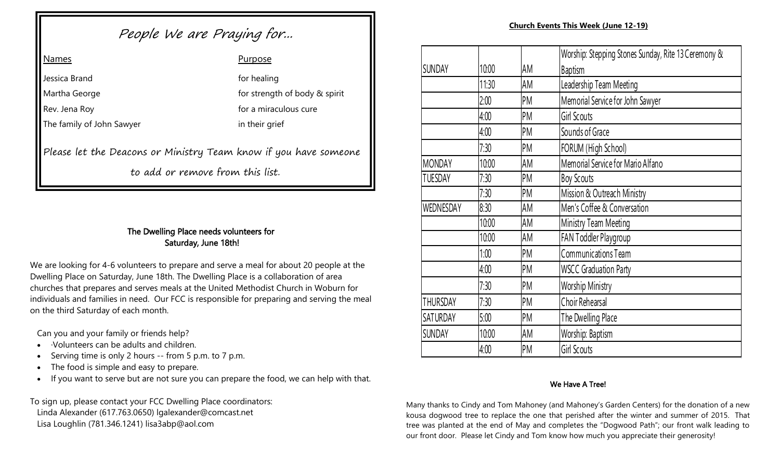# People We are Praying for... **Church Events This Week (June 12-19)** Church Events This Week (June 12-19)

| <b>Names</b>                                                     | Purpose                       |
|------------------------------------------------------------------|-------------------------------|
| Jessica Brand                                                    | for healing                   |
| Martha George                                                    | for strength of body & spirit |
| Rev. Jena Roy                                                    | for a miraculous cure         |
| The family of John Sawyer                                        | in their grief                |
| Please let the Deacons or Ministry Team know if you have someone |                               |

to add or remove from this list.

### The Dwelling Place needs volunteers for Saturday, June 18th!

We are looking for 4-6 volunteers to prepare and serve a meal for about 20 people at the Dwelling Place on Saturday, June 18th. The Dwelling Place is a collaboration of area churches that prepares and serves meals at the United Methodist Church in Woburn for individuals and families in need. Our FCC is responsible for preparing and serving the meal on the third Saturday of each month.

Can you and your family or friends help?

- ·Volunteers can be adults and children.
- Serving time is only 2 hours -- from 5 p.m. to 7 p.m.
- The food is simple and easy to prepare.
- If you want to serve but are not sure you can prepare the food, we can help with that.

To sign up, please contact your FCC Dwelling Place coordinators: Linda Alexander (617.763.0650) lgalexander@comcast.net Lisa Loughlin (781.346.1241) lisa3abp@aol.com

|                   |       |    | Worship: Stepping Stones Sunday, Rite 13 Ceremony & |
|-------------------|-------|----|-----------------------------------------------------|
| <b>SUNDAY</b>     | 10:00 | AM | <b>Baptism</b>                                      |
|                   | 11:30 | AM | Leadership Team Meeting                             |
|                   | 2:00  | PM | Memorial Service for John Sawyer                    |
|                   | 4:00  | PM | <b>Girl Scouts</b>                                  |
|                   | 4:00  | PM | Sounds of Grace                                     |
| 7:30              |       | PM | FORUM (High School)                                 |
| <b>MONDAY</b>     | 10:00 | AM | Memorial Service for Mario Alfano                   |
| <b>TUESDAY</b>    | 7:30  | PM | <b>Boy Scouts</b>                                   |
|                   | 7:30  | PM | Mission & Outreach Ministry                         |
| WEDNESDAY<br>8:30 |       | AM | Men's Coffee & Conversation                         |
|                   | 10:00 | AM | Ministry Team Meeting                               |
|                   | 10:00 | AM | FAN Toddler Playgroup                               |
|                   | 1:00  | PM | <b>Communications Team</b>                          |
|                   | 4:00  | PM | <b>WSCC Graduation Party</b>                        |
| 7:30              |       | PM | <b>Worship Ministry</b>                             |
| <b>THURSDAY</b>   | 7:30  | PM | Choir Rehearsal                                     |
| <b>SATURDAY</b>   | 5:00  | PM | The Dwelling Place                                  |
| <b>SUNDAY</b>     | 10:00 | AM | Worship: Baptism                                    |
|                   | 4:00  | PM | <b>Girl Scouts</b>                                  |
|                   |       |    |                                                     |

### We Have A Tree!

Many thanks to Cindy and Tom Mahoney (and Mahoney's Garden Centers) for the donation of a new kousa dogwood tree to replace the one that perished after the winter and summer of 2015. That tree was planted at the end of May and completes the "Dogwood Path"; our front walk leading to our front door. Please let Cindy and Tom know how much you appreciate their generosity!